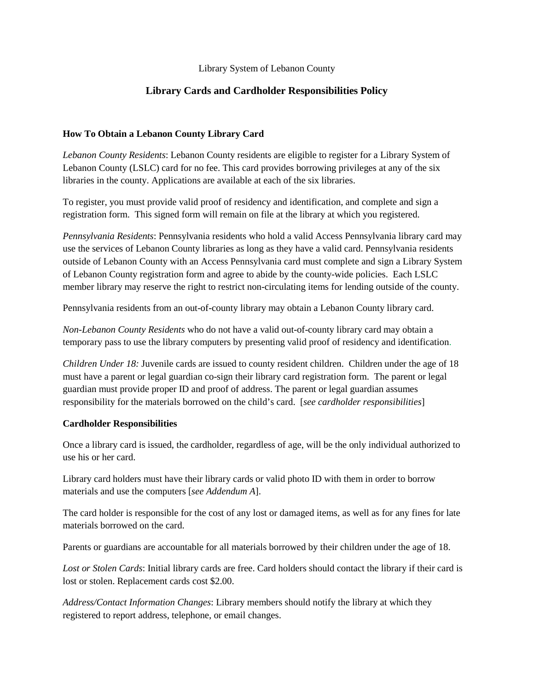#### Library System of Lebanon County

# **Library Cards and Cardholder Responsibilities Policy**

## **How To Obtain a Lebanon County Library Card**

*Lebanon County Residents*: Lebanon County residents are eligible to register for a Library System of Lebanon County (LSLC) card for no fee. This card provides borrowing privileges at any of the six libraries in the county. Applications are available at each of the six libraries.

To register, you must provide valid proof of residency and identification, and complete and sign a registration form. This signed form will remain on file at the library at which you registered.

*Pennsylvania Residents*: Pennsylvania residents who hold a valid Access Pennsylvania library card may use the services of Lebanon County libraries as long as they have a valid card. Pennsylvania residents outside of Lebanon County with an Access Pennsylvania card must complete and sign a Library System of Lebanon County registration form and agree to abide by the county-wide policies. Each LSLC member library may reserve the right to restrict non-circulating items for lending outside of the county.

Pennsylvania residents from an out-of-county library may obtain a Lebanon County library card.

*Non-Lebanon County Residents* who do not have a valid out-of-county library card may obtain a temporary pass to use the library computers by presenting valid proof of residency and identification.

*Children Under 18:* Juvenile cards are issued to county resident children. Children under the age of 18 must have a parent or legal guardian co-sign their library card registration form. The parent or legal guardian must provide proper ID and proof of address. The parent or legal guardian assumes responsibility for the materials borrowed on the child's card. [*see cardholder responsibilities*]

#### **Cardholder Responsibilities**

Once a library card is issued, the cardholder, regardless of age, will be the only individual authorized to use his or her card.

Library card holders must have their library cards or valid photo ID with them in order to borrow materials and use the computers [*see Addendum A*].

The card holder is responsible for the cost of any lost or damaged items, as well as for any fines for late materials borrowed on the card.

Parents or guardians are accountable for all materials borrowed by their children under the age of 18.

*Lost or Stolen Cards*: Initial library cards are free. Card holders should contact the library if their card is lost or stolen. Replacement cards cost \$2.00.

*Address/Contact Information Changes*: Library members should notify the library at which they registered to report address, telephone, or email changes.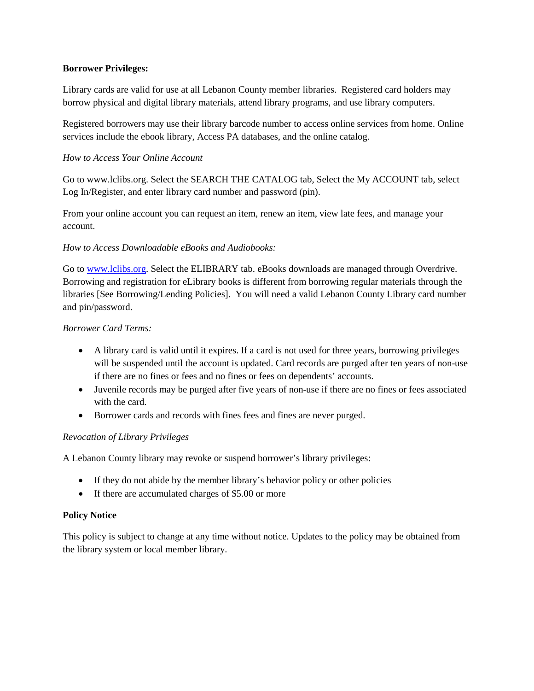## **Borrower Privileges:**

Library cards are valid for use at all Lebanon County member libraries. Registered card holders may borrow physical and digital library materials, attend library programs, and use library computers.

Registered borrowers may use their library barcode number to access online services from home. Online services include the ebook library, Access PA databases, and the online catalog.

## *How to Access Your Online Account*

Go to [www.lclibs.org.](http://www.lclibs.org/) Select the SEARCH THE CATALOG tab, Select the My ACCOUNT tab, select Log In/Register, and enter library card number and password (pin).

From your online account you can request an item, renew an item, view late fees, and manage your account.

## *How to Access Downloadable eBooks and Audiobooks:*

Go to [www.lclibs.org.](http://www.lclibs.org/) Select the ELIBRARY tab. eBooks downloads are managed through Overdrive. Borrowing and registration for eLibrary books is different from borrowing regular materials through the libraries [See Borrowing/Lending Policies]. You will need a valid Lebanon County Library card number and pin/password.

## *Borrower Card Terms:*

- A library card is valid until it expires. If a card is not used for three years, borrowing privileges will be suspended until the account is updated. Card records are purged after ten years of non-use if there are no fines or fees and no fines or fees on dependents' accounts.
- Juvenile records may be purged after five years of non-use if there are no fines or fees associated with the card.
- Borrower cards and records with fines fees and fines are never purged.

#### *Revocation of Library Privileges*

A Lebanon County library may revoke or suspend borrower's library privileges:

- If they do not abide by the member library's behavior policy or other policies
- If there are accumulated charges of \$5.00 or more

#### **Policy Notice**

This policy is subject to change at any time without notice. Updates to the policy may be obtained from the library system or local member library.